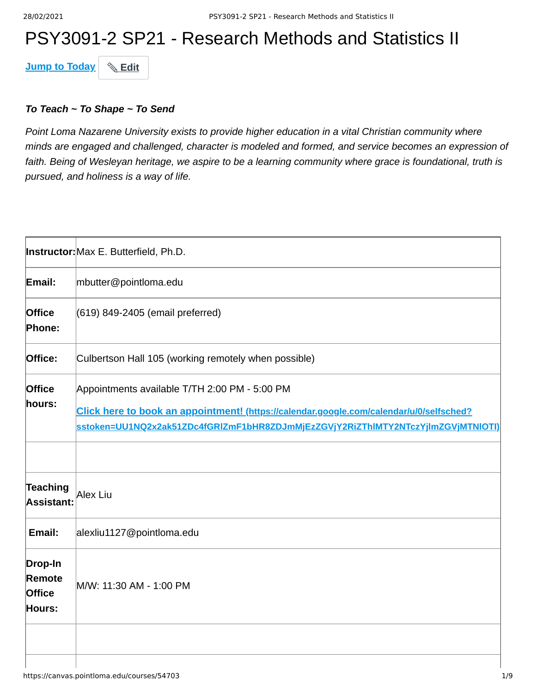# PSY3091-2 SP21 - Research Methods and Statistics II

**Jump to Today & Edit** 

#### *To Teach ~ To Shape ~ To Send*

*Point Loma Nazarene University exists to provide higher education in a vital Christian community where minds are engaged and challenged, character is modeled and formed, and service becomes an expression of faith. Being of Wesleyan heritage, we aspire to be a learning community where grace is foundational, truth is pursued, and holiness is a way of life.*

|                                              | Instructor: Max E. Butterfield, Ph.D.                                                                                                                                                                                        |
|----------------------------------------------|------------------------------------------------------------------------------------------------------------------------------------------------------------------------------------------------------------------------------|
| Email:                                       | mbutter@pointloma.edu                                                                                                                                                                                                        |
| <b>Office</b><br>Phone:                      | (619) 849-2405 (email preferred)                                                                                                                                                                                             |
| Office:                                      | Culbertson Hall 105 (working remotely when possible)                                                                                                                                                                         |
| <b>Office</b><br>hours:                      | Appointments available T/TH 2:00 PM - 5:00 PM<br>Click here to book an appointment! (https://calendar.google.com/calendar/u/0/selfsched?<br>sstoken=UU1NQ2x2ak51ZDc4fGRlZmF1bHR8ZDJmMjEzZGVjY2RiZThIMTY2NTczYjlmZGVjMTNlOTI) |
| Teaching<br>Assistant:                       | Alex Liu                                                                                                                                                                                                                     |
| Email:                                       | alexliu1127@pointloma.edu                                                                                                                                                                                                    |
| Drop-In<br>Remote<br><b>Office</b><br>Hours: | M/W: 11:30 AM - 1:00 PM                                                                                                                                                                                                      |
|                                              |                                                                                                                                                                                                                              |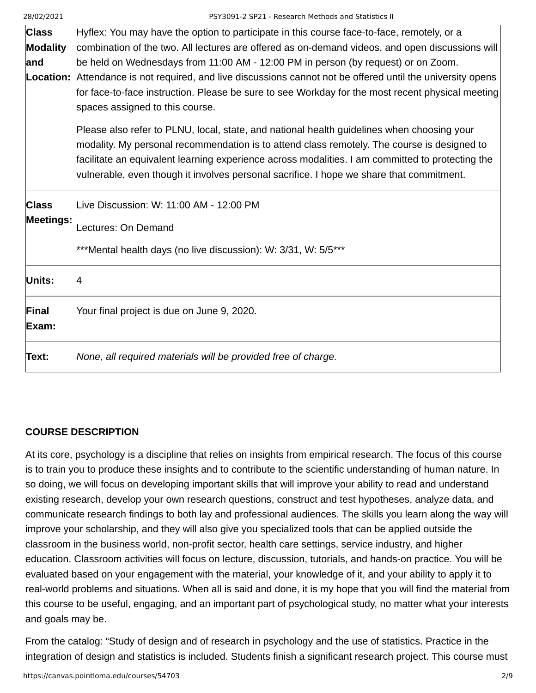| <b>Class</b>     | Hyflex: You may have the option to participate in this course face-to-face, remotely, or a                         |
|------------------|--------------------------------------------------------------------------------------------------------------------|
| <b>Modality</b>  | combination of the two. All lectures are offered as on-demand videos, and open discussions will                    |
| and              | be held on Wednesdays from 11:00 AM - 12:00 PM in person (by request) or on Zoom.                                  |
|                  | <b>Location:</b> Attendance is not required, and live discussions cannot not be offered until the university opens |
|                  | for face-to-face instruction. Please be sure to see Workday for the most recent physical meeting                   |
|                  | spaces assigned to this course.                                                                                    |
|                  | Please also refer to PLNU, local, state, and national health guidelines when choosing your                         |
|                  | modality. My personal recommendation is to attend class remotely. The course is designed to                        |
|                  | facilitate an equivalent learning experience across modalities. I am committed to protecting the                   |
|                  | vulnerable, even though it involves personal sacrifice. I hope we share that commitment.                           |
| <b>Class</b>     | Live Discussion: W: 11:00 AM - 12:00 PM                                                                            |
| <b>Meetings:</b> |                                                                                                                    |
|                  | Lectures: On Demand                                                                                                |
|                  | ***Mental health days (no live discussion): W: 3/31, W: 5/5***                                                     |
| Units:           | 14                                                                                                                 |
| Final            | Your final project is due on June 9, 2020.                                                                         |
| Exam:            |                                                                                                                    |
| Text:            | None, all required materials will be provided free of charge.                                                      |

### **COURSE DESCRIPTION**

At its core, psychology is a discipline that relies on insights from empirical research. The focus of this course is to train you to produce these insights and to contribute to the scientific understanding of human nature. In so doing, we will focus on developing important skills that will improve your ability to read and understand existing research, develop your own research questions, construct and test hypotheses, analyze data, and communicate research findings to both lay and professional audiences. The skills you learn along the way will improve your scholarship, and they will also give you specialized tools that can be applied outside the classroom in the business world, non-profit sector, health care settings, service industry, and higher education. Classroom activities will focus on lecture, discussion, tutorials, and hands-on practice. You will be evaluated based on your engagement with the material, your knowledge of it, and your ability to apply it to real-world problems and situations. When all is said and done, it is my hope that you will find the material from this course to be useful, engaging, and an important part of psychological study, no matter what your interests and goals may be.

From the catalog: "Study of design and of research in psychology and the use of statistics. Practice in the integration of design and statistics is included. Students finish a significant research project. This course must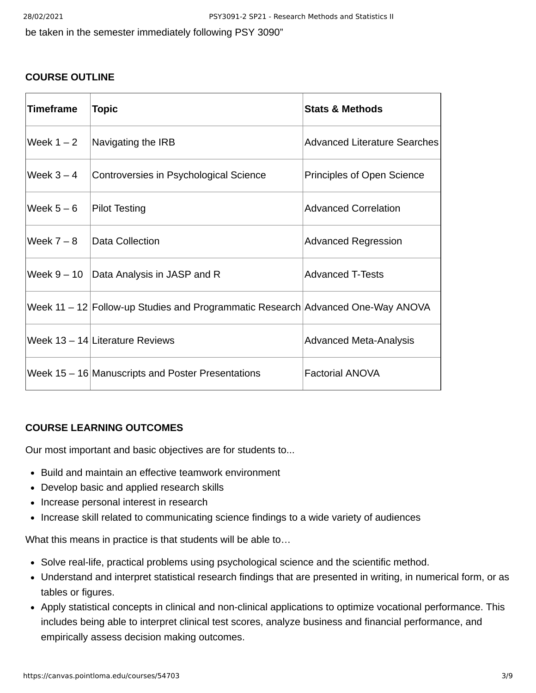be taken in the semester immediately following PSY 3090"

#### **COURSE OUTLINE**

| Timeframe    | <b>Topic</b>                                                                      | <b>Stats &amp; Methods</b>    |
|--------------|-----------------------------------------------------------------------------------|-------------------------------|
| Week $1 - 2$ | Navigating the IRB                                                                | Advanced Literature Searches  |
| Week $3 - 4$ | Controversies in Psychological Science                                            | Principles of Open Science    |
| Week $5-6$   | Pilot Testing                                                                     | <b>Advanced Correlation</b>   |
| Week $7-8$   | Data Collection                                                                   | <b>Advanced Regression</b>    |
|              | Week $9 - 10$ Data Analysis in JASP and R                                         | <b>Advanced T-Tests</b>       |
|              | Week $11 - 12$ Follow-up Studies and Programmatic Research Advanced One-Way ANOVA |                               |
|              | Week $13 - 14$ Literature Reviews                                                 | <b>Advanced Meta-Analysis</b> |
|              | Week 15 - 16 Manuscripts and Poster Presentations                                 | <b>Factorial ANOVA</b>        |

### **COURSE LEARNING OUTCOMES**

Our most important and basic objectives are for students to...

- Build and maintain an effective teamwork environment
- Develop basic and applied research skills
- Increase personal interest in research
- Increase skill related to communicating science findings to a wide variety of audiences

What this means in practice is that students will be able to…

- Solve real-life, practical problems using psychological science and the scientific method.
- Understand and interpret statistical research findings that are presented in writing, in numerical form, or as tables or figures.
- Apply statistical concepts in clinical and non-clinical applications to optimize vocational performance. This includes being able to interpret clinical test scores, analyze business and financial performance, and empirically assess decision making outcomes.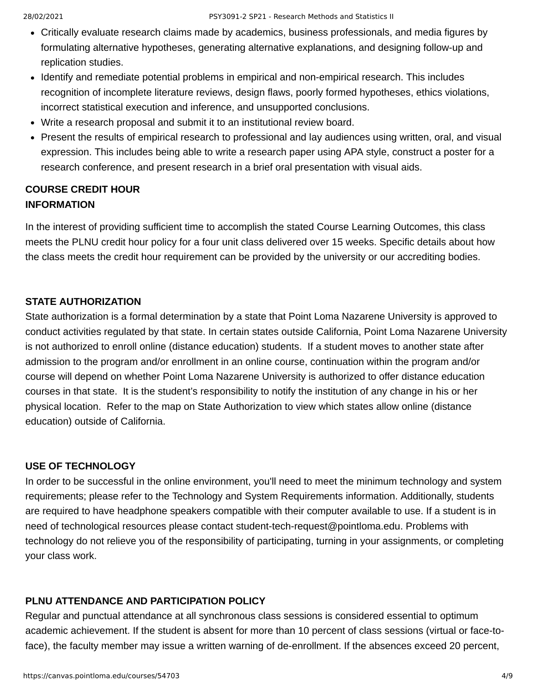- Critically evaluate research claims made by academics, business professionals, and media figures by formulating alternative hypotheses, generating alternative explanations, and designing follow-up and replication studies.
- Identify and remediate potential problems in empirical and non-empirical research. This includes recognition of incomplete literature reviews, design flaws, poorly formed hypotheses, ethics violations, incorrect statistical execution and inference, and unsupported conclusions.
- Write a research proposal and submit it to an institutional review board.
- Present the results of empirical research to professional and lay audiences using written, oral, and visual expression. This includes being able to write a research paper using APA style, construct a poster for a research conference, and present research in a brief oral presentation with visual aids.

# **COURSE CREDIT HOUR INFORMATION**

In the interest of providing sufficient time to accomplish the stated Course Learning Outcomes, this class meets the PLNU credit hour policy for a four unit class delivered over 15 weeks. Specific details about how the class meets the credit hour requirement can be provided by the university or our accrediting bodies.

## **STATE AUTHORIZATION**

State authorization is a formal determination by a state that Point Loma Nazarene University is approved to conduct activities regulated by that state. In certain states outside California, Point Loma Nazarene University is not authorized to enroll online (distance education) students. If a student moves to another state after admission to the program and/or enrollment in an online course, continuation within the program and/or course will depend on whether Point Loma Nazarene University is authorized to offer distance education courses in that state. It is the student's responsibility to notify the institution of any change in his or her physical location. Refer to the map on State Authorization to view which states allow online (distance education) outside of California.

# **USE OF TECHNOLOGY**

In order to be successful in the online environment, you'll need to meet the minimum technology and system requirements; please refer to the Technology and System Requirements information. Additionally, students are required to have headphone speakers compatible with their computer available to use. If a student is in need of technological resources please contact student-tech-request@pointloma.edu. Problems with technology do not relieve you of the responsibility of participating, turning in your assignments, or completing your class work.

# **PLNU ATTENDANCE AND PARTICIPATION POLICY**

Regular and punctual attendance at all synchronous class sessions is considered essential to optimum academic achievement. If the student is absent for more than 10 percent of class sessions (virtual or face-toface), the faculty member may issue a written warning of de-enrollment. If the absences exceed 20 percent,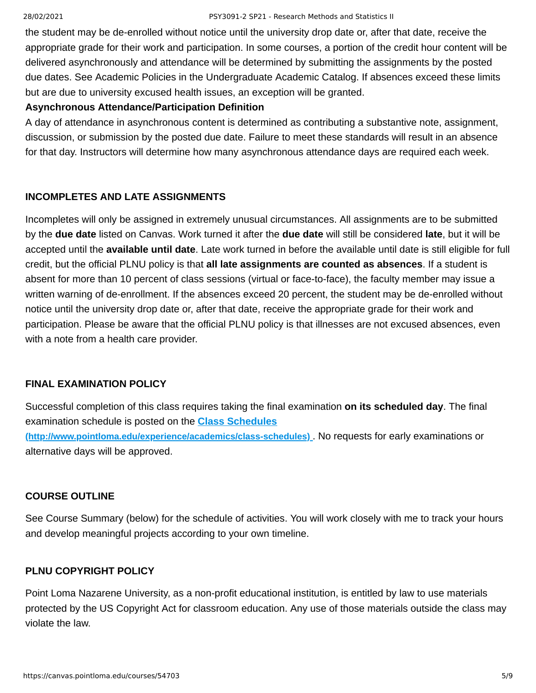the student may be de-enrolled without notice until the university drop date or, after that date, receive the appropriate grade for their work and participation. In some courses, a portion of the credit hour content will be delivered asynchronously and attendance will be determined by submitting the assignments by the posted due dates. See Academic Policies in the Undergraduate Academic Catalog. If absences exceed these limits but are due to university excused health issues, an exception will be granted.

#### **Asynchronous Attendance/Participation Definition**

A day of attendance in asynchronous content is determined as contributing a substantive note, assignment, discussion, or submission by the posted due date. Failure to meet these standards will result in an absence for that day. Instructors will determine how many asynchronous attendance days are required each week.

## **INCOMPLETES AND LATE ASSIGNMENTS**

Incompletes will only be assigned in extremely unusual circumstances. All assignments are to be submitted by the **due date** listed on Canvas. Work turned it after the **due date** will still be considered **late**, but it will be accepted until the **available until date**. Late work turned in before the available until date is still eligible for full credit, but the official PLNU policy is that **all late assignments are counted as absences**. If a student is absent for more than 10 percent of class sessions (virtual or face-to-face), the faculty member may issue a written warning of de-enrollment. If the absences exceed 20 percent, the student may be de-enrolled without notice until the university drop date or, after that date, receive the appropriate grade for their work and participation. Please be aware that the official PLNU policy is that illnesses are not excused absences, even with a note from a health care provider.

### **FINAL EXAMINATION POLICY**

Successful completion of this class requires taking the final examination **on its scheduled day**. The final examination schedule is posted on the **Class Schedules [\(http://www.pointloma.edu/experience/academics/class-schedules\)](http://www.pointloma.edu/experience/academics/class-schedules)** . No requests for early examinations or alternative days will be approved.

### **COURSE OUTLINE**

See Course Summary (below) for the schedule of activities. You will work closely with me to track your hours and develop meaningful projects according to your own timeline.

### **PLNU COPYRIGHT POLICY**

Point Loma Nazarene University, as a non-profit educational institution, is entitled by law to use materials protected by the US Copyright Act for classroom education. Any use of those materials outside the class may violate the law.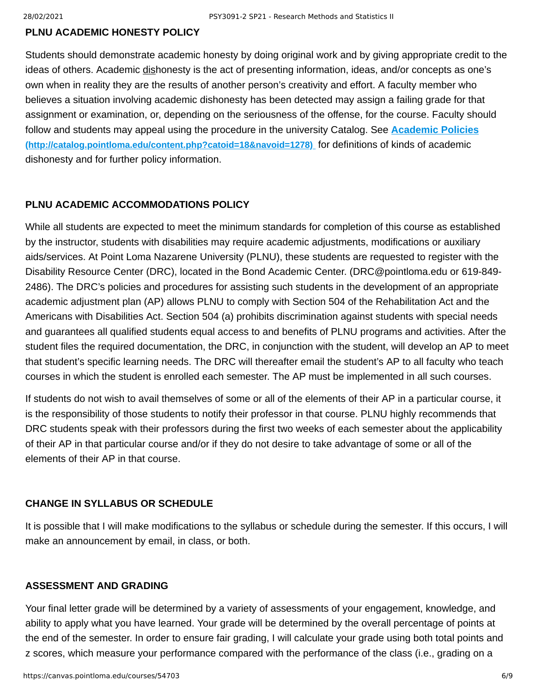#### **PLNU ACADEMIC HONESTY POLICY**

Students should demonstrate academic honesty by doing original work and by giving appropriate credit to the ideas of others. Academic dishonesty is the act of presenting information, ideas, and/or concepts as one's own when in reality they are the results of another person's creativity and effort. A faculty member who believes a situation involving academic dishonesty has been detected may assign a failing grade for that assignment or examination, or, depending on the seriousness of the offense, for the course. Faculty should [follow and students may appeal using the procedure in the university Catalog. See](http://catalog.pointloma.edu/content.php?catoid=18&navoid=1278) **Academic Policies (http://catalog.pointloma.edu/content.php?catoid=18&navoid=1278)** for definitions of kinds of academic dishonesty and for further policy information.

#### **PLNU ACADEMIC ACCOMMODATIONS POLICY**

While all students are expected to meet the minimum standards for completion of this course as established by the instructor, students with disabilities may require academic adjustments, modifications or auxiliary aids/services. At Point Loma Nazarene University (PLNU), these students are requested to register with the Disability Resource Center (DRC), located in the Bond Academic Center. (DRC@pointloma.edu or 619-849- 2486). The DRC's policies and procedures for assisting such students in the development of an appropriate academic adjustment plan (AP) allows PLNU to comply with Section 504 of the Rehabilitation Act and the Americans with Disabilities Act. Section 504 (a) prohibits discrimination against students with special needs and guarantees all qualified students equal access to and benefits of PLNU programs and activities. After the student files the required documentation, the DRC, in conjunction with the student, will develop an AP to meet that student's specific learning needs. The DRC will thereafter email the student's AP to all faculty who teach courses in which the student is enrolled each semester. The AP must be implemented in all such courses.

If students do not wish to avail themselves of some or all of the elements of their AP in a particular course, it is the responsibility of those students to notify their professor in that course. PLNU highly recommends that DRC students speak with their professors during the first two weeks of each semester about the applicability of their AP in that particular course and/or if they do not desire to take advantage of some or all of the elements of their AP in that course.

#### **CHANGE IN SYLLABUS OR SCHEDULE**

It is possible that I will make modifications to the syllabus or schedule during the semester. If this occurs, I will make an announcement by email, in class, or both.

#### **ASSESSMENT AND GRADING**

Your final letter grade will be determined by a variety of assessments of your engagement, knowledge, and ability to apply what you have learned. Your grade will be determined by the overall percentage of points at the end of the semester. In order to ensure fair grading, I will calculate your grade using both total points and z scores, which measure your performance compared with the performance of the class (i.e., grading on a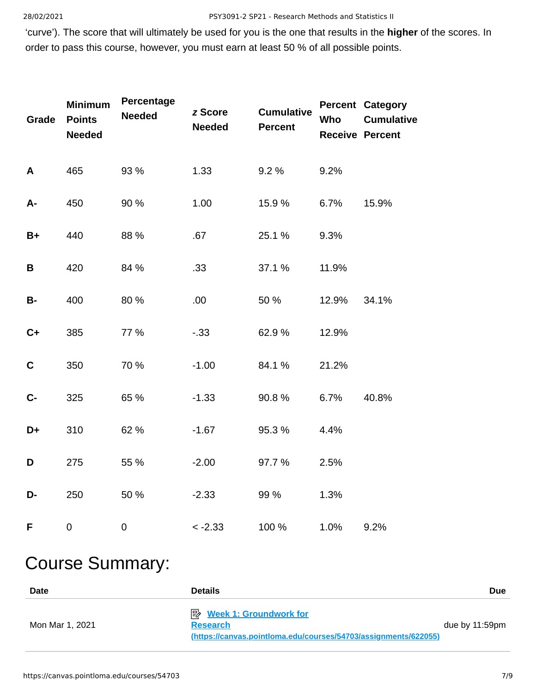'curve'). The score that will ultimately be used for you is the one that results in the **higher** of the scores. In order to pass this course, however, you must earn at least 50 % of all possible points.

| Grade       | <b>Minimum</b><br><b>Points</b><br><b>Needed</b> | Percentage<br><b>Needed</b> | z Score<br><b>Needed</b> | <b>Cumulative</b><br><b>Percent</b> | Who   | <b>Percent Category</b><br><b>Cumulative</b><br><b>Receive Percent</b> |
|-------------|--------------------------------------------------|-----------------------------|--------------------------|-------------------------------------|-------|------------------------------------------------------------------------|
| A           | 465                                              | 93 %                        | 1.33                     | 9.2 %                               | 9.2%  |                                                                        |
| A-          | 450                                              | 90 %                        | 1.00                     | 15.9 %                              | 6.7%  | 15.9%                                                                  |
| $B+$        | 440                                              | 88 %                        | .67                      | 25.1 %                              | 9.3%  |                                                                        |
| B           | 420                                              | 84 %                        | .33                      | 37.1 %                              | 11.9% |                                                                        |
| <b>B-</b>   | 400                                              | 80 %                        | .00                      | 50 %                                | 12.9% | 34.1%                                                                  |
| $C+$        | 385                                              | 77 %                        | $-.33$                   | 62.9%                               | 12.9% |                                                                        |
| $\mathbf C$ | 350                                              | 70 %                        | $-1.00$                  | 84.1%                               | 21.2% |                                                                        |
| $C -$       | 325                                              | 65 %                        | $-1.33$                  | 90.8%                               | 6.7%  | 40.8%                                                                  |
| D+          | 310                                              | 62 %                        | $-1.67$                  | 95.3 %                              | 4.4%  |                                                                        |
| D           | 275                                              | 55 %                        | $-2.00$                  | 97.7 %                              | 2.5%  |                                                                        |
| D-          | 250                                              | 50 %                        | $-2.33$                  | 99 %                                | 1.3%  |                                                                        |
| F           | $\boldsymbol{0}$                                 | $\boldsymbol{0}$            | $< -2.33$                | 100 %                               | 1.0%  | 9.2%                                                                   |

# Course Summary:

| <b>Date</b>     | <b>Details</b>                                                                                                        | <b>Due</b>        |
|-----------------|-----------------------------------------------------------------------------------------------------------------------|-------------------|
| Mon Mar 1, 2021 | <b>B</b> Week 1: Groundwork for<br><b>Research</b><br>(https://canvas.pointloma.edu/courses/54703/assignments/622055) | due by $11:59$ pm |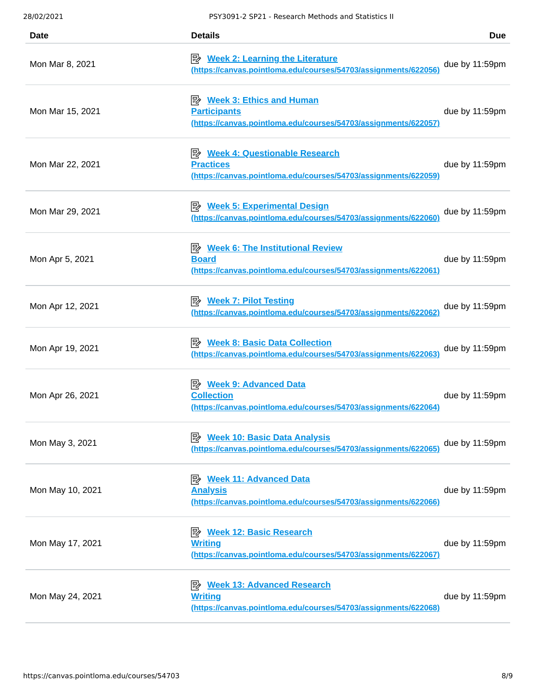| Date             | <b>Details</b>                                                                                                               | <b>Due</b>     |
|------------------|------------------------------------------------------------------------------------------------------------------------------|----------------|
| Mon Mar 8, 2021  | $\Rightarrow$ Week 2: Learning the Literature<br>(https://canvas.pointloma.edu/courses/54703/assignments/622056              | due by 11:59pm |
| Mon Mar 15, 2021 | <b>B</b> Week 3: Ethics and Human<br><b>Participants</b><br>(https://canvas.pointloma.edu/courses/54703/assignments/622057)  | due by 11:59pm |
| Mon Mar 22, 2021 | <b>Week 4: Questionable Research</b><br><b>Practices</b><br>(https://canvas.pointloma.edu/courses/54703/assignments/622059)  | due by 11:59pm |
| Mon Mar 29, 2021 | <b>Week 5: Experimental Design</b><br>膠<br>(https://canvas.pointloma.edu/courses/54703/assignments/622060)                   | due by 11:59pm |
| Mon Apr 5, 2021  | <b>E</b> Week 6: The Institutional Review<br><b>Board</b><br>(https://canvas.pointloma.edu/courses/54703/assignments/622061) | due by 11:59pm |
| Mon Apr 12, 2021 | ■ Week 7: Pilot Testing<br>(https://canvas.pointloma.edu/courses/54703/assignments/622062)                                   | due by 11:59pm |
| Mon Apr 19, 2021 | 眕<br><b>Week 8: Basic Data Collection</b><br>(https://canvas.pointloma.edu/courses/54703/assignments/622063)                 | due by 11:59pm |
| Mon Apr 26, 2021 | <b>B</b> Week 9: Advanced Data<br><b>Collection</b><br>(https://canvas.pointloma.edu/courses/54703/assignments/622064)       | due by 11:59pm |
| Mon May 3, 2021  | <b>E</b> Week 10: Basic Data Analysis<br>(https://canvas.pointloma.edu/courses/54703/assignments/622065)                     | due by 11:59pm |
| Mon May 10, 2021 | <b>Week 11: Advanced Data</b><br>眇<br><b>Analysis</b><br>(https://canvas.pointloma.edu/courses/54703/assignments/622066)     | due by 11:59pm |
| Mon May 17, 2021 | <b>B</b> Week 12: Basic Research<br><b>Writing</b><br>(https://canvas.pointloma.edu/courses/54703/assignments/622067)        | due by 11:59pm |
| Mon May 24, 2021 | <b>Week 13: Advanced Research</b><br>膠<br><b>Writing</b><br>(https://canvas.pointloma.edu/courses/54703/assignments/622068)  | due by 11:59pm |